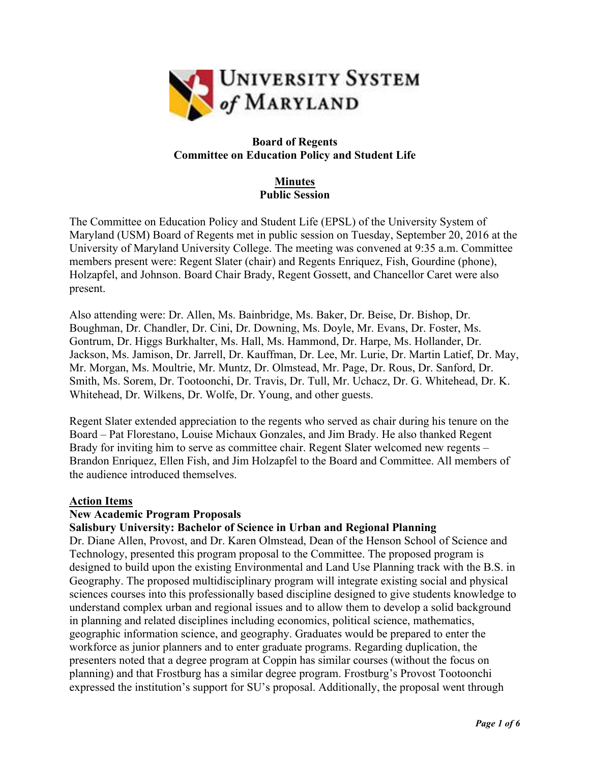

### **Board of Regents Committee on Education Policy and Student Life**

## **Minutes Public Session**

The Committee on Education Policy and Student Life (EPSL) of the University System of Maryland (USM) Board of Regents met in public session on Tuesday, September 20, 2016 at the University of Maryland University College. The meeting was convened at 9:35 a.m. Committee members present were: Regent Slater (chair) and Regents Enriquez, Fish, Gourdine (phone), Holzapfel, and Johnson. Board Chair Brady, Regent Gossett, and Chancellor Caret were also present.

Also attending were: Dr. Allen, Ms. Bainbridge, Ms. Baker, Dr. Beise, Dr. Bishop, Dr. Boughman, Dr. Chandler, Dr. Cini, Dr. Downing, Ms. Doyle, Mr. Evans, Dr. Foster, Ms. Gontrum, Dr. Higgs Burkhalter, Ms. Hall, Ms. Hammond, Dr. Harpe, Ms. Hollander, Dr. Jackson, Ms. Jamison, Dr. Jarrell, Dr. Kauffman, Dr. Lee, Mr. Lurie, Dr. Martin Latief, Dr. May, Mr. Morgan, Ms. Moultrie, Mr. Muntz, Dr. Olmstead, Mr. Page, Dr. Rous, Dr. Sanford, Dr. Smith, Ms. Sorem, Dr. Tootoonchi, Dr. Travis, Dr. Tull, Mr. Uchacz, Dr. G. Whitehead, Dr. K. Whitehead, Dr. Wilkens, Dr. Wolfe, Dr. Young, and other guests.

Regent Slater extended appreciation to the regents who served as chair during his tenure on the Board – Pat Florestano, Louise Michaux Gonzales, and Jim Brady. He also thanked Regent Brady for inviting him to serve as committee chair. Regent Slater welcomed new regents – Brandon Enriquez, Ellen Fish, and Jim Holzapfel to the Board and Committee. All members of the audience introduced themselves.

### **Action Items**

### **New Academic Program Proposals**

### **Salisbury University: Bachelor of Science in Urban and Regional Planning**

Dr. Diane Allen, Provost, and Dr. Karen Olmstead, Dean of the Henson School of Science and Technology, presented this program proposal to the Committee. The proposed program is designed to build upon the existing Environmental and Land Use Planning track with the B.S. in Geography. The proposed multidisciplinary program will integrate existing social and physical sciences courses into this professionally based discipline designed to give students knowledge to understand complex urban and regional issues and to allow them to develop a solid background in planning and related disciplines including economics, political science, mathematics, geographic information science, and geography. Graduates would be prepared to enter the workforce as junior planners and to enter graduate programs. Regarding duplication, the presenters noted that a degree program at Coppin has similar courses (without the focus on planning) and that Frostburg has a similar degree program. Frostburg's Provost Tootoonchi expressed the institution's support for SU's proposal. Additionally, the proposal went through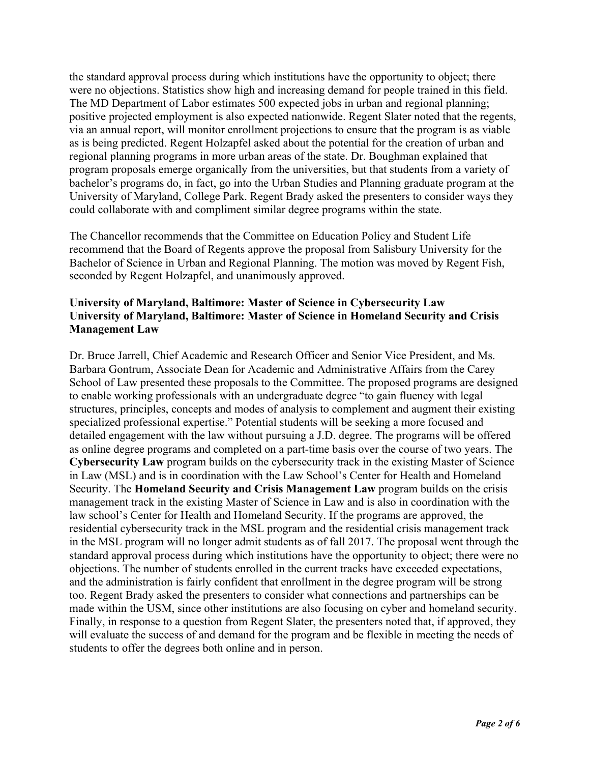the standard approval process during which institutions have the opportunity to object; there were no objections. Statistics show high and increasing demand for people trained in this field. The MD Department of Labor estimates 500 expected jobs in urban and regional planning; positive projected employment is also expected nationwide. Regent Slater noted that the regents, via an annual report, will monitor enrollment projections to ensure that the program is as viable as is being predicted. Regent Holzapfel asked about the potential for the creation of urban and regional planning programs in more urban areas of the state. Dr. Boughman explained that program proposals emerge organically from the universities, but that students from a variety of bachelor's programs do, in fact, go into the Urban Studies and Planning graduate program at the University of Maryland, College Park. Regent Brady asked the presenters to consider ways they could collaborate with and compliment similar degree programs within the state.

The Chancellor recommends that the Committee on Education Policy and Student Life recommend that the Board of Regents approve the proposal from Salisbury University for the Bachelor of Science in Urban and Regional Planning. The motion was moved by Regent Fish, seconded by Regent Holzapfel, and unanimously approved.

### **University of Maryland, Baltimore: Master of Science in Cybersecurity Law University of Maryland, Baltimore: Master of Science in Homeland Security and Crisis Management Law**

Dr. Bruce Jarrell, Chief Academic and Research Officer and Senior Vice President, and Ms. Barbara Gontrum, Associate Dean for Academic and Administrative Affairs from the Carey School of Law presented these proposals to the Committee. The proposed programs are designed to enable working professionals with an undergraduate degree "to gain fluency with legal structures, principles, concepts and modes of analysis to complement and augment their existing specialized professional expertise." Potential students will be seeking a more focused and detailed engagement with the law without pursuing a J.D. degree. The programs will be offered as online degree programs and completed on a part-time basis over the course of two years. The **Cybersecurity Law** program builds on the cybersecurity track in the existing Master of Science in Law (MSL) and is in coordination with the Law School's Center for Health and Homeland Security. The **Homeland Security and Crisis Management Law** program builds on the crisis management track in the existing Master of Science in Law and is also in coordination with the law school's Center for Health and Homeland Security. If the programs are approved, the residential cybersecurity track in the MSL program and the residential crisis management track in the MSL program will no longer admit students as of fall 2017. The proposal went through the standard approval process during which institutions have the opportunity to object; there were no objections. The number of students enrolled in the current tracks have exceeded expectations, and the administration is fairly confident that enrollment in the degree program will be strong too. Regent Brady asked the presenters to consider what connections and partnerships can be made within the USM, since other institutions are also focusing on cyber and homeland security. Finally, in response to a question from Regent Slater, the presenters noted that, if approved, they will evaluate the success of and demand for the program and be flexible in meeting the needs of students to offer the degrees both online and in person.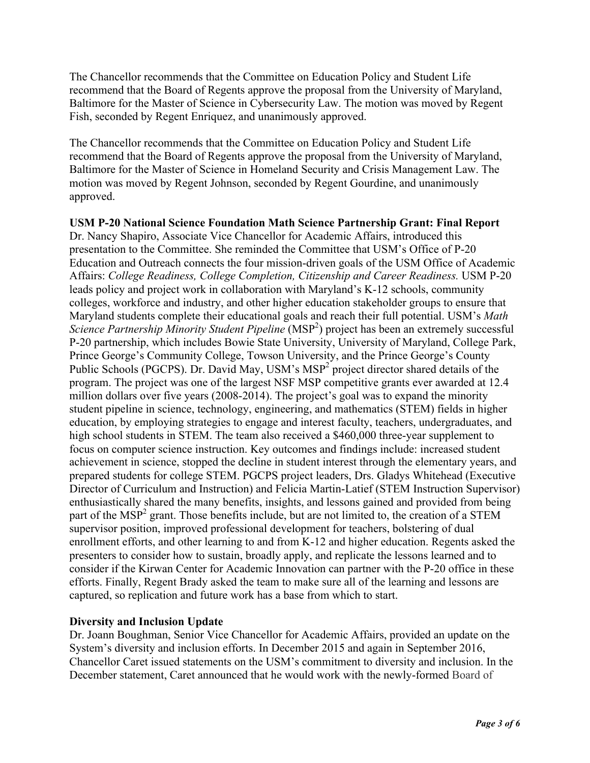The Chancellor recommends that the Committee on Education Policy and Student Life recommend that the Board of Regents approve the proposal from the University of Maryland, Baltimore for the Master of Science in Cybersecurity Law. The motion was moved by Regent Fish, seconded by Regent Enriquez, and unanimously approved.

The Chancellor recommends that the Committee on Education Policy and Student Life recommend that the Board of Regents approve the proposal from the University of Maryland, Baltimore for the Master of Science in Homeland Security and Crisis Management Law. The motion was moved by Regent Johnson, seconded by Regent Gourdine, and unanimously approved.

**USM P-20 National Science Foundation Math Science Partnership Grant: Final Report**  Dr. Nancy Shapiro, Associate Vice Chancellor for Academic Affairs, introduced this presentation to the Committee. She reminded the Committee that USM's Office of P-20 Education and Outreach connects the four mission-driven goals of the USM Office of Academic Affairs: *College Readiness, College Completion, Citizenship and Career Readiness.* USM P-20 leads policy and project work in collaboration with Maryland's K-12 schools, community colleges, workforce and industry, and other higher education stakeholder groups to ensure that Maryland students complete their educational goals and reach their full potential. USM's *Math*  Science Partnership Minority Student Pipeline (MSP<sup>2</sup>) project has been an extremely successful P-20 partnership, which includes Bowie State University, University of Maryland, College Park, Prince George's Community College, Towson University, and the Prince George's County Public Schools (PGCPS). Dr. David May, USM's MSP<sup>2</sup> project director shared details of the program. The project was one of the largest NSF MSP competitive grants ever awarded at 12.4 million dollars over five years (2008-2014). The project's goal was to expand the minority student pipeline in science, technology, engineering, and mathematics (STEM) fields in higher education, by employing strategies to engage and interest faculty, teachers, undergraduates, and high school students in STEM. The team also received a \$460,000 three-year supplement to focus on computer science instruction. Key outcomes and findings include: increased student achievement in science, stopped the decline in student interest through the elementary years, and prepared students for college STEM. PGCPS project leaders, Drs. Gladys Whitehead (Executive Director of Curriculum and Instruction) and Felicia Martin-Latief (STEM Instruction Supervisor) enthusiastically shared the many benefits, insights, and lessons gained and provided from being part of the  $MSP<sup>2</sup>$  grant. Those benefits include, but are not limited to, the creation of a STEM supervisor position, improved professional development for teachers, bolstering of dual enrollment efforts, and other learning to and from K-12 and higher education. Regents asked the presenters to consider how to sustain, broadly apply, and replicate the lessons learned and to consider if the Kirwan Center for Academic Innovation can partner with the P-20 office in these efforts. Finally, Regent Brady asked the team to make sure all of the learning and lessons are captured, so replication and future work has a base from which to start.

### **Diversity and Inclusion Update**

Dr. Joann Boughman, Senior Vice Chancellor for Academic Affairs, provided an update on the System's diversity and inclusion efforts. In December 2015 and again in September 2016, Chancellor Caret issued statements on the USM's commitment to diversity and inclusion. In the December statement, Caret announced that he would work with the newly-formed Board of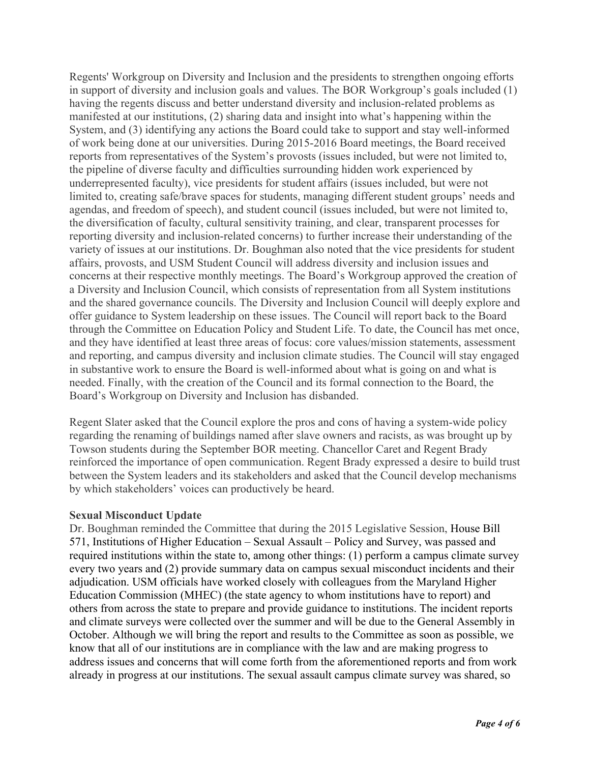Regents' Workgroup on Diversity and Inclusion and the presidents to strengthen ongoing efforts in support of diversity and inclusion goals and values. The BOR Workgroup's goals included (1) having the regents discuss and better understand diversity and inclusion-related problems as manifested at our institutions, (2) sharing data and insight into what's happening within the System, and (3) identifying any actions the Board could take to support and stay well-informed of work being done at our universities. During 2015-2016 Board meetings, the Board received reports from representatives of the System's provosts (issues included, but were not limited to, the pipeline of diverse faculty and difficulties surrounding hidden work experienced by underrepresented faculty), vice presidents for student affairs (issues included, but were not limited to, creating safe/brave spaces for students, managing different student groups' needs and agendas, and freedom of speech), and student council (issues included, but were not limited to, the diversification of faculty, cultural sensitivity training, and clear, transparent processes for reporting diversity and inclusion-related concerns) to further increase their understanding of the variety of issues at our institutions. Dr. Boughman also noted that the vice presidents for student affairs, provosts, and USM Student Council will address diversity and inclusion issues and concerns at their respective monthly meetings. The Board's Workgroup approved the creation of a Diversity and Inclusion Council, which consists of representation from all System institutions and the shared governance councils. The Diversity and Inclusion Council will deeply explore and offer guidance to System leadership on these issues. The Council will report back to the Board through the Committee on Education Policy and Student Life. To date, the Council has met once, and they have identified at least three areas of focus: core values/mission statements, assessment and reporting, and campus diversity and inclusion climate studies. The Council will stay engaged in substantive work to ensure the Board is well-informed about what is going on and what is needed. Finally, with the creation of the Council and its formal connection to the Board, the Board's Workgroup on Diversity and Inclusion has disbanded.

Regent Slater asked that the Council explore the pros and cons of having a system-wide policy regarding the renaming of buildings named after slave owners and racists, as was brought up by Towson students during the September BOR meeting. Chancellor Caret and Regent Brady reinforced the importance of open communication. Regent Brady expressed a desire to build trust between the System leaders and its stakeholders and asked that the Council develop mechanisms by which stakeholders' voices can productively be heard.

# **Sexual Misconduct Update**

Dr. Boughman reminded the Committee that during the 2015 Legislative Session, House Bill 571, Institutions of Higher Education – Sexual Assault – Policy and Survey, was passed and required institutions within the state to, among other things: (1) perform a campus climate survey every two years and (2) provide summary data on campus sexual misconduct incidents and their adjudication. USM officials have worked closely with colleagues from the Maryland Higher Education Commission (MHEC) (the state agency to whom institutions have to report) and others from across the state to prepare and provide guidance to institutions. The incident reports and climate surveys were collected over the summer and will be due to the General Assembly in October. Although we will bring the report and results to the Committee as soon as possible, we know that all of our institutions are in compliance with the law and are making progress to address issues and concerns that will come forth from the aforementioned reports and from work already in progress at our institutions. The sexual assault campus climate survey was shared, so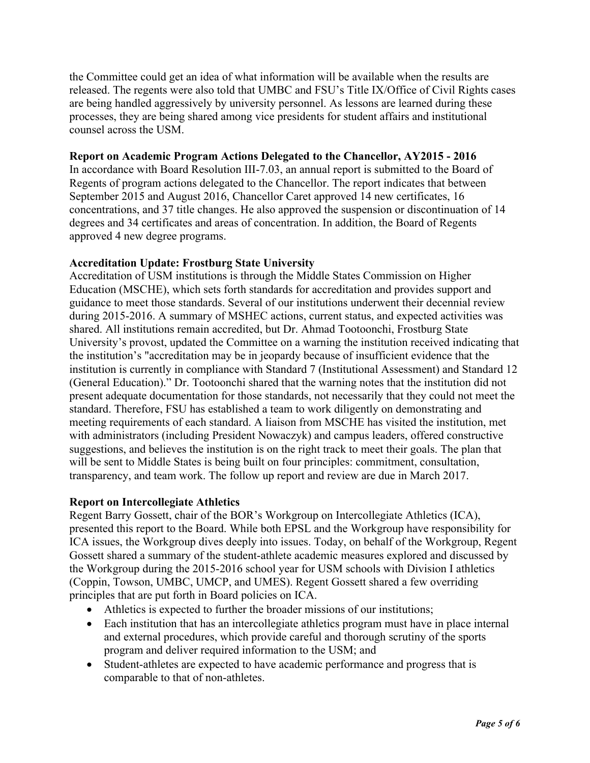the Committee could get an idea of what information will be available when the results are released. The regents were also told that UMBC and FSU's Title IX/Office of Civil Rights cases are being handled aggressively by university personnel. As lessons are learned during these processes, they are being shared among vice presidents for student affairs and institutional counsel across the USM.

#### **Report on Academic Program Actions Delegated to the Chancellor, AY2015 - 2016**

In accordance with Board Resolution III-7.03, an annual report is submitted to the Board of Regents of program actions delegated to the Chancellor. The report indicates that between September 2015 and August 2016, Chancellor Caret approved 14 new certificates, 16 concentrations, and 37 title changes. He also approved the suspension or discontinuation of 14 degrees and 34 certificates and areas of concentration. In addition, the Board of Regents approved 4 new degree programs.

### **Accreditation Update: Frostburg State University**

Accreditation of USM institutions is through the Middle States Commission on Higher Education (MSCHE), which sets forth standards for accreditation and provides support and guidance to meet those standards. Several of our institutions underwent their decennial review during 2015-2016. A summary of MSHEC actions, current status, and expected activities was shared. All institutions remain accredited, but Dr. Ahmad Tootoonchi, Frostburg State University's provost, updated the Committee on a warning the institution received indicating that the institution's "accreditation may be in jeopardy because of insufficient evidence that the institution is currently in compliance with Standard 7 (Institutional Assessment) and Standard 12 (General Education)." Dr. Tootoonchi shared that the warning notes that the institution did not present adequate documentation for those standards, not necessarily that they could not meet the standard. Therefore, FSU has established a team to work diligently on demonstrating and meeting requirements of each standard. A liaison from MSCHE has visited the institution, met with administrators (including President Nowaczyk) and campus leaders, offered constructive suggestions, and believes the institution is on the right track to meet their goals. The plan that will be sent to Middle States is being built on four principles: commitment, consultation, transparency, and team work. The follow up report and review are due in March 2017.

### **Report on Intercollegiate Athletics**

Regent Barry Gossett, chair of the BOR's Workgroup on Intercollegiate Athletics (ICA), presented this report to the Board. While both EPSL and the Workgroup have responsibility for ICA issues, the Workgroup dives deeply into issues. Today, on behalf of the Workgroup, Regent Gossett shared a summary of the student-athlete academic measures explored and discussed by the Workgroup during the 2015-2016 school year for USM schools with Division I athletics (Coppin, Towson, UMBC, UMCP, and UMES). Regent Gossett shared a few overriding principles that are put forth in Board policies on ICA.

- Athletics is expected to further the broader missions of our institutions;
- Each institution that has an intercollegiate athletics program must have in place internal and external procedures, which provide careful and thorough scrutiny of the sports program and deliver required information to the USM; and
- Student-athletes are expected to have academic performance and progress that is comparable to that of non-athletes.